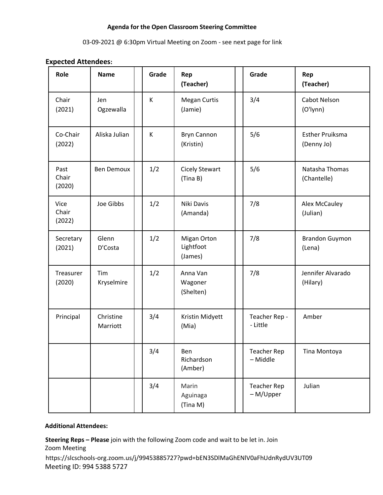### **Agenda for the Open Classroom Steering Committee**

### 03-09-2021 @ 6:30pm Virtual Meeting on Zoom - see next page for link

### **Expected Attendees:**

| Role                           | <b>Name</b>           | Grade | Rep<br>(Teacher)                    | Grade                           | Rep<br>(Teacher)                     |
|--------------------------------|-----------------------|-------|-------------------------------------|---------------------------------|--------------------------------------|
| Chair<br>(2021)                | Jen<br>Ogzewalla      | K     | <b>Megan Curtis</b><br>(Jamie)      | 3/4                             | Cabot Nelson<br>(O'lynn)             |
| Co-Chair<br>(2022)             | Aliska Julian         | K     | <b>Bryn Cannon</b><br>(Kristin)     | 5/6                             | <b>Esther Pruiksma</b><br>(Denny Jo) |
| Past<br>Chair<br>(2020)        | <b>Ben Demoux</b>     | 1/2   | <b>Cicely Stewart</b><br>(Tina B)   | 5/6                             | Natasha Thomas<br>(Chantelle)        |
| <b>Vice</b><br>Chair<br>(2022) | Joe Gibbs             | 1/2   | Niki Davis<br>(Amanda)              | 7/8                             | Alex McCauley<br>(Julian)            |
| Secretary<br>(2021)            | Glenn<br>D'Costa      | 1/2   | Migan Orton<br>Lightfoot<br>(James) | 7/8                             | <b>Brandon Guymon</b><br>(Lena)      |
| Treasurer<br>(2020)            | Tim<br>Kryselmire     | 1/2   | Anna Van<br>Wagoner<br>(Shelten)    | 7/8                             | Jennifer Alvarado<br>(Hilary)        |
| Principal                      | Christine<br>Marriott | 3/4   | Kristin Midyett<br>(Mia)            | Teacher Rep -<br>- Little       | Amber                                |
|                                |                       | 3/4   | Ben<br>Richardson<br>(Amber)        | <b>Teacher Rep</b><br>- Middle  | Tina Montoya                         |
|                                |                       | 3/4   | Marin<br>Aguinaga<br>(Tina M)       | <b>Teacher Rep</b><br>- M/Upper | Julian                               |

# **Additional Attendees:**

**Steering Reps – Please** join with the following Zoom code and wait to be let in. Join Zoom Meeting https://slcschools-org.zoom.us/j/99453885727?pwd=bEN3SDlMaGhENlV0aFhUdnRydUV3UT09 Meeting ID: 994 5388 5727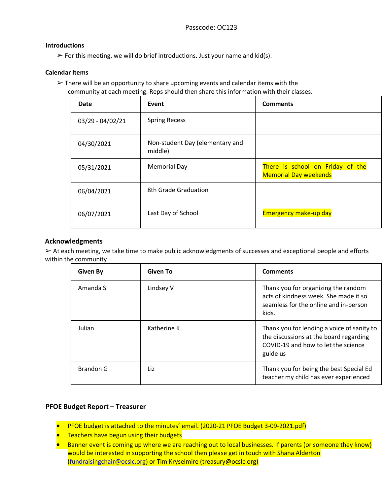### **Introductions**

 $\triangleright$  For this meeting, we will do brief introductions. Just your name and kid(s).

### **Calendar Items**

 $\triangleright$  There will be an opportunity to share upcoming events and calendar items with the community at each meeting. Reps should then share this information with their classes.

| Date             | Event                                      | <b>Comments</b>                                                  |
|------------------|--------------------------------------------|------------------------------------------------------------------|
| 03/29 - 04/02/21 | <b>Spring Recess</b>                       |                                                                  |
| 04/30/2021       | Non-student Day (elementary and<br>middle) |                                                                  |
| 05/31/2021       | <b>Memorial Day</b>                        | There is school on Friday of the<br><b>Memorial Day weekends</b> |
| 06/04/2021       | 8th Grade Graduation                       |                                                                  |
| 06/07/2021       | Last Day of School                         | <b>Emergency make-up day</b>                                     |

### **Acknowledgments**

➢ At each meeting, we take time to make public acknowledgments of successes and exceptional people and efforts within the community

| <b>Given By</b> | <b>Given To</b> | <b>Comments</b>                                                                                                                         |
|-----------------|-----------------|-----------------------------------------------------------------------------------------------------------------------------------------|
| Amanda S        | Lindsey V       | Thank you for organizing the random<br>acts of kindness week. She made it so<br>seamless for the online and in-person<br>kids.          |
| Julian          | Katherine K     | Thank you for lending a voice of sanity to<br>the discussions at the board regarding<br>COVID-19 and how to let the science<br>guide us |
| Brandon G       | Liz             | Thank you for being the best Special Ed<br>teacher my child has ever experienced                                                        |

# **PFOE Budget Report – Treasurer**

- PFOE budget is attached to the minutes' email. (2020-21 PFOE Budget 3-09-2021.pdf)
- **•** Teachers have begun using their budgets
- Banner event is coming up where we are reaching out to local businesses. If parents (or someone they know) would be interested in supporting the school then please get in touch with Shana Alderton [\(fundraisingchair@ocslc.org\)](mailto:fundraisingchair@ocslc.org) or Tim Kryselmire (treasury@ocslc.org)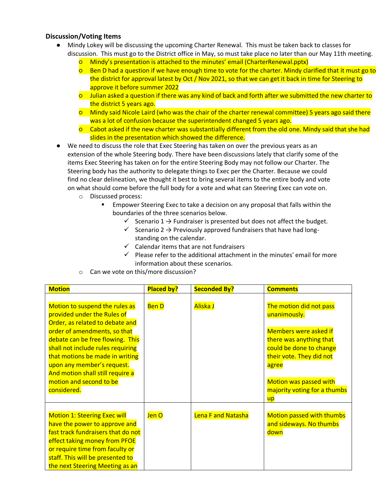# **Discussion/Voting Items**

- Mindy Lokey will be discussing the upcoming Charter Renewal. This must be taken back to classes for discussion. This must go to the District office in May, so must take place no later than our May 11th meeting.
	- Mindy's presentation is attached to the minutes' email (CharterRenewal.pptx)
	- Ben D had a question if we have enough time to vote for the charter. Mindy clarified that it must go to the district for approval latest by Oct / Nov 2021, so that we can get it back in time for Steering to approve it before summer 2022
	- Julian asked a question if there was any kind of back and forth after we submitted the new charter to the district 5 years ago.
	- Mindy said Nicole Laird (who was the chair of the charter renewal committee) 5 years ago said there was a lot of confusion because the superintendent changed 5 years ago.
	- Cabot asked if the new charter was substantially different from the old one. Mindy said that she had slides in the presentation which showed the difference.
- We need to discuss the role that Exec Steering has taken on over the previous years as an extension of the whole Steering body. There have been discussions lately that clarify some of the items Exec Steering has taken on for the entire Steering Body may not follow our Charter. The Steering body has the authority to delegate things to Exec per the Charter. Because we could find no clear delineation, we thought it best to bring several items to the entire body and vote on what should come before the full body for a vote and what can Steering Exec can vote on.
	- o Discussed process:
		- **Empower Steering Exec to take a decision on any proposal that falls within the** boundaries of the three scenarios below.
			- $\checkmark$  Scenario 1  $\to$  Fundraiser is presented but does not affect the budget.
			- $\checkmark$  Scenario 2  $\to$  Previously approved fundraisers that have had longstanding on the calendar.
			- $\checkmark$  Calendar items that are not fundraisers
			- $\checkmark$  Please refer to the additional attachment in the minutes' email for more information about these scenarios.
	- o Can we vote on this/more discussion?

| <b>Motion</b>                                                                                                                                                                                                                                                                                                                                            | <b>Placed by?</b> | <b>Seconded By?</b>       | <b>Comments</b>                                                                                                                                                                                                                                  |
|----------------------------------------------------------------------------------------------------------------------------------------------------------------------------------------------------------------------------------------------------------------------------------------------------------------------------------------------------------|-------------------|---------------------------|--------------------------------------------------------------------------------------------------------------------------------------------------------------------------------------------------------------------------------------------------|
| Motion to suspend the rules as<br>provided under the Rules of<br>Order, as related to debate and<br>order of amendments, so that<br>debate can be free flowing. This<br>shall not include rules requiring<br>that motions be made in writing<br>upon any member's request.<br>And motion shall still require a<br>motion and second to be<br>considered. | <b>BenD</b>       | Aliska J                  | The motion did not pass<br>unanimously.<br><b>Members were asked if</b><br>there was anything that<br>could be done to change<br>their vote. They did not<br>agree<br><b>Motion was passed with</b><br>majority voting for a thumbs<br><u>up</u> |
| <b>Motion 1: Steering Exec will</b><br>have the power to approve and<br>fast track fundraisers that do not<br>effect taking money from PFOE<br>or require time from faculty or<br>staff. This will be presented to<br>the next Steering Meeting as an                                                                                                    | Jen O             | <b>Lena F and Natasha</b> | <b>Motion passed with thumbs</b><br>and sideways. No thumbs<br>down                                                                                                                                                                              |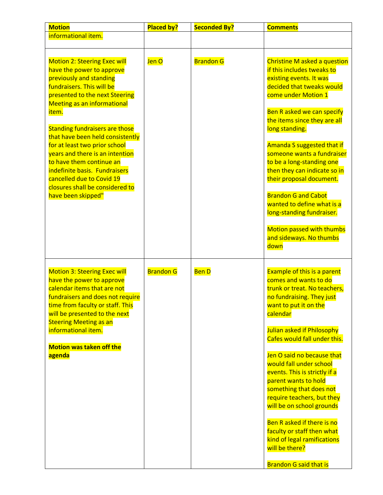| <b>Motion</b>                                                                                                                                                                                                                                                                                                                                                                                                                                                                                                 | <b>Placed by?</b> | <b>Seconded By?</b> | <b>Comments</b>                                                                                                                                                                                                                                                                                                                                                                                                                                                                                                                                                                   |
|---------------------------------------------------------------------------------------------------------------------------------------------------------------------------------------------------------------------------------------------------------------------------------------------------------------------------------------------------------------------------------------------------------------------------------------------------------------------------------------------------------------|-------------------|---------------------|-----------------------------------------------------------------------------------------------------------------------------------------------------------------------------------------------------------------------------------------------------------------------------------------------------------------------------------------------------------------------------------------------------------------------------------------------------------------------------------------------------------------------------------------------------------------------------------|
| informational item.                                                                                                                                                                                                                                                                                                                                                                                                                                                                                           |                   |                     |                                                                                                                                                                                                                                                                                                                                                                                                                                                                                                                                                                                   |
|                                                                                                                                                                                                                                                                                                                                                                                                                                                                                                               |                   |                     |                                                                                                                                                                                                                                                                                                                                                                                                                                                                                                                                                                                   |
| <b>Motion 2: Steering Exec will</b><br>have the power to approve<br>previously and standing<br>fundraisers. This will be<br>presented to the next Steering<br><b>Meeting as an informational</b><br>item.<br><b>Standing fundraisers are those</b><br>that have been held consistently<br>for at least two prior school<br>years and there is an intention<br>to have them continue an<br>indefinite basis. Fundraisers<br>cancelled due to Covid 19<br>closures shall be considered to<br>have been skipped" | Jen O             | <b>Brandon G</b>    | Christine M asked a question<br>if this includes tweaks to<br>existing events. It was<br>decided that tweaks would<br>come under Motion 1<br>Ben R asked we can specify<br>the items since they are all<br>long standing.<br>Amanda S suggested that if<br>someone wants a fundraiser<br>to be a long-standing one<br>then they can indicate so in<br>their proposal document.<br><b>Brandon G and Cabot</b><br>wanted to define what is a<br>long-standing fundraiser.<br><b>Motion passed with thumbs</b><br>and sideways. No thumbs<br>down                                    |
| <b>Motion 3: Steering Exec will</b><br>have the power to approve<br>calendar items that are not<br>fundraisers and does not require<br>time from faculty or staff. This<br>will be presented to the next<br><b>Steering Meeting as an</b><br>informational item.<br><b>Motion was taken off the</b><br>agenda                                                                                                                                                                                                 | <b>Brandon G</b>  | <b>BenD</b>         | <b>Example of this is a parent</b><br>comes and wants to do<br>trunk or treat. No teachers,<br>no fundraising. They just<br>want to put it on the<br>calendar<br>Julian asked if Philosophy<br>Cafes would fall under this.<br>Jen O said no because that<br>would fall under school<br>events. This is strictly if a<br>parent wants to hold<br>something that does not<br>require teachers, but they<br>will be on school grounds<br>Ben R asked if there is no<br>faculty or staff then what<br>kind of legal ramifications<br>will be there?<br><b>Brandon G said that is</b> |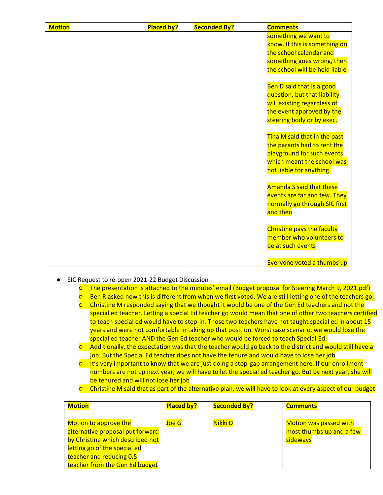| <b>Motion</b> | <b>Placed by?</b> | <b>Seconded By?</b> | <b>Comments</b>                   |
|---------------|-------------------|---------------------|-----------------------------------|
|               |                   |                     | something we want to              |
|               |                   |                     | know. If this is something on     |
|               |                   |                     | the school calendar and           |
|               |                   |                     | something goes wrong, then        |
|               |                   |                     | the school will be held liable    |
|               |                   |                     |                                   |
|               |                   |                     | Ben D said that is a good         |
|               |                   |                     | question, but that liability      |
|               |                   |                     | will existing regardless of       |
|               |                   |                     | the event approved by the         |
|               |                   |                     | steering body or by exec.         |
|               |                   |                     |                                   |
|               |                   |                     | Tina M said that in the past      |
|               |                   |                     | the parents had to rent the       |
|               |                   |                     | playground for such events        |
|               |                   |                     | which meant the school was        |
|               |                   |                     | not liable for anything.          |
|               |                   |                     |                                   |
|               |                   |                     | Amanda S said that these          |
|               |                   |                     | events are far and few. They      |
|               |                   |                     | normally go through SIC first     |
|               |                   |                     | and then                          |
|               |                   |                     | <b>Christine pays the faculty</b> |
|               |                   |                     | member who volunteers to          |
|               |                   |                     |                                   |
|               |                   |                     | be at such events                 |
|               |                   |                     |                                   |
|               |                   |                     | Everyone voted a thumbs up        |

- SIC Request to re-open 2021-22 Budget Discussion
	- The presentation is attached to the minutes' email (Budget proposal for Steering March 9, 2021.pdf)
	- Ben R asked how this is different from when we first voted. We are still letting one of the teachers go.
	- Christine M responded saying that we thought it would be one of the Gen Ed teachers and not the special ed teacher. Letting a special Ed teacher go would mean that one of other two teachers certified to teach special ed would have to step-in. Those two teachers have not taught special ed in about 15 years and were not comfortable in taking up that position. Worst case scenario, we would lose the special ed teacher AND the Gen Ed teacher who would be forced to teach Special Ed.
	- Additionally, the expectation was that the teacher would go back to the district and would still have a job. But the Special Ed teacher does not have the tenure and would have to lose her job
	- It's very important to know that we are just doing a stop-gap arrangement here. If our enrollment numbers are not up next year, we will have to let the special ed teacher go. But by next year, she will be tenured and will not lose her job
	- Christine M said that as part of the alternative plan, we will have to look at every aspect of our budget

| <b>Motion</b>                                                                                                                                                                               | <b>Placed by?</b> | <b>Seconded By?</b> | <b>Comments</b>                                                       |
|---------------------------------------------------------------------------------------------------------------------------------------------------------------------------------------------|-------------------|---------------------|-----------------------------------------------------------------------|
| Motion to approve the<br>alternative proposal put forward<br>by Christine which described not<br>letting go of the special ed<br>teacher and reducing 0.5<br>teacher from the Gen Ed budget | Joe G             | Nikki D             | <b>Motion was passed with</b><br>most thumbs up and a few<br>sideways |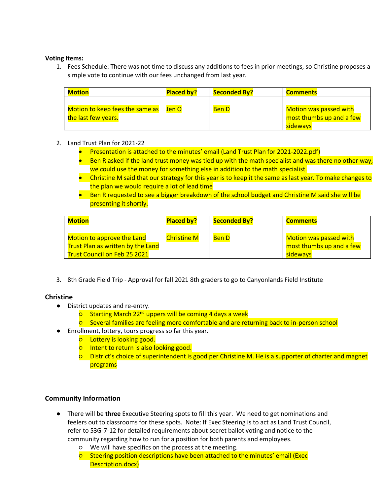### **Voting Items:**

1. Fees Schedule: There was not time to discuss any additions to fees in prior meetings, so Christine proposes a simple vote to continue with our fees unchanged from last year.

| <b>Motion</b>                                          | <b>Placed by?</b> | <b>Seconded By?</b> | <b>Comments</b>                                                       |
|--------------------------------------------------------|-------------------|---------------------|-----------------------------------------------------------------------|
| Motion to keep fees the same as<br>the last few years. | Jen O             | <b>Ben D</b>        | <b>Motion was passed with</b><br>most thumbs up and a few<br>sideways |

### 2. Land Trust Plan for 2021-22

- Presentation is attached to the minutes' email (Land Trust Plan for 2021-2022.pdf)
- Ben R asked if the land trust money was tied up with the math specialist and was there no other way, we could use the money for something else in addition to the math specialist.
- Christine M said that our strategy for this year is to keep it the same as last year. To make changes to the plan we would require a lot of lead time
- Ben R requested to see a bigger breakdown of the school budget and Christine M said she will be presenting it shortly.

| <b>Motion</b>                                                          | <b>Placed by?</b>  | <b>Seconded By?</b> | <b>Comments</b>                                    |
|------------------------------------------------------------------------|--------------------|---------------------|----------------------------------------------------|
| Motion to approve the Land<br><b>Trust Plan as written by the Land</b> | <b>Christine M</b> | <b>Ben D</b>        | Motion was passed with<br>most thumbs up and a few |
| <b>Trust Council on Feb 25 2021</b>                                    |                    |                     | sideways                                           |

3. 8th Grade Field Trip - Approval for fall 2021 8th graders to go to Canyonlands Field Institute

### **Christine**

- District updates and re-entry.
	- **O** Starting March 22<sup>nd</sup> uppers will be coming 4 days a week
	- Several families are feeling more comfortable and are returning back to in-person school
- Enrollment, lottery, tours progress so far this year.
	- o Lottery is looking good.
	- Intent to return is also looking good.
	- District's choice of superintendent is good per Christine M. He is a supporter of charter and magnet programs

### **Community Information**

- There will be **three** Executive Steering spots to fill this year. We need to get nominations and feelers out to classrooms for these spots. Note: If Exec Steering is to act as Land Trust Council, refer to 53G-7-12 for detailed requirements about secret ballot voting and notice to the community regarding how to run for a position for both parents and employees.
	- We will have specifics on the process at the meeting.
	- Steering position descriptions have been attached to the minutes' email (Exec Description.docx)